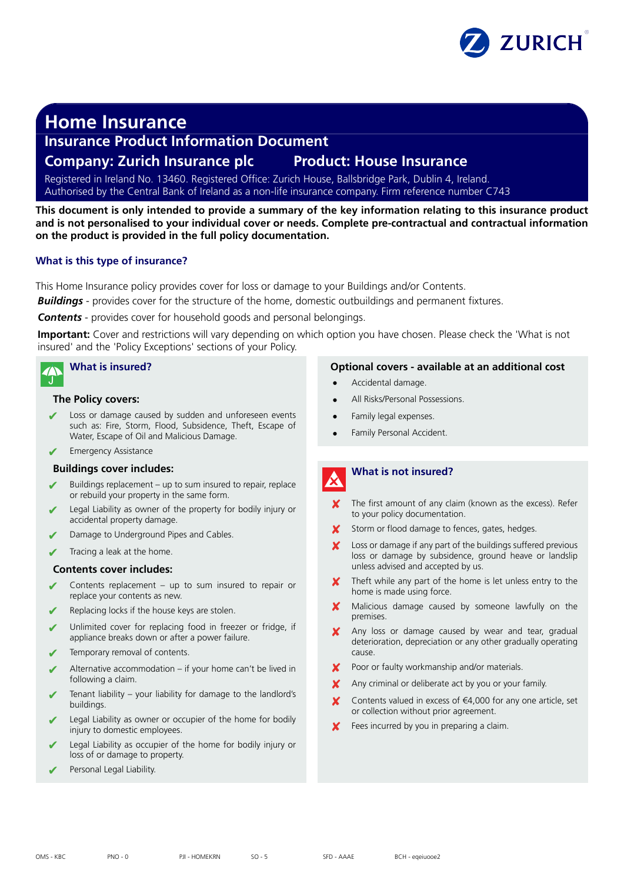

# **Home Insurance**

## **Insurance Product Information Document**

## **Company: Zurich Insurance plc Product: House Insurance**

Registered in Ireland No. 13460. Registered Office: Zurich House, Ballsbridge Park, Dublin 4, Ireland. Authorised by the Central Bank of Ireland as a non-life insurance company. Firm reference number C743

**This document is only intended to provide a summary of the key information relating to this insurance product and is not personalised to your individual cover or needs. Complete pre-contractual and contractual information on the product is provided in the full policy documentation.**

### **What is this type of insurance?**

This Home Insurance policy provides cover for loss or damage to your Buildings and/or Contents.

**Buildings** - provides cover for the structure of the home, domestic outbuildings and permanent fixtures.

*Contents* - provides cover for household goods and personal belongings.

**Important:** Cover and restrictions will vary depending on which option you have chosen. Please check the 'What is not insured' and the 'Policy Exceptions' sections of your Policy.

## **What is insured?**

### **The Policy covers:**

- Loss or damage caused by sudden and unforeseen events such as: Fire, Storm, Flood, Subsidence, Theft, Escape of Water, Escape of Oil and Malicious Damage.
- **Emergency Assistance**

### **Buildings cover includes:**

- Buildings replacement up to sum insured to repair, replace or rebuild your property in the same form.
- Legal Liability as owner of the property for bodily injury or accidental property damage.
- Damage to Underground Pipes and Cables.
- Tracing a leak at the home.

### **Contents cover includes:**

- Contents replacement up to sum insured to repair or replace your contents as new.
- Replacing locks if the house keys are stolen.
- Unlimited cover for replacing food in freezer or fridge, if appliance breaks down or after a power failure.
- Temporary removal of contents.
- Alternative accommodation if your home can't be lived in following a claim.
- ✔ Tenant liability your liability for damage to the landlord's buildings.
- Legal Liability as owner or occupier of the home for bodily injury to domestic employees.
- Legal Liability as occupier of the home for bodily injury or loss of or damage to property.
- Personal Legal Liability.

### **Optional covers - available at an additional cost**

- Accidental damage.
- All Risks/Personal Possessions.
- Family legal expenses.
- Family Personal Accident.

## **What is not insured?**

- The first amount of any claim (known as the excess). Refer to your policy documentation.
- Storm or flood damage to fences, gates, hedges.
- ✘ Loss or damage if any part of the buildings suffered previous loss or damage by subsidence, ground heave or landslip unless advised and accepted by us.
- Theft while any part of the home is let unless entry to the home is made using force.
- Malicious damage caused by someone lawfully on the premises.
- Any loss or damage caused by wear and tear, gradual deterioration, depreciation or any other gradually operating cause.
- ✘ Poor or faulty workmanship and/or materials.
- Any criminal or deliberate act by you or your family.
- Contents valued in excess of €4,000 for any one article, set or collection without prior agreement.
- Fees incurred by you in preparing a claim.